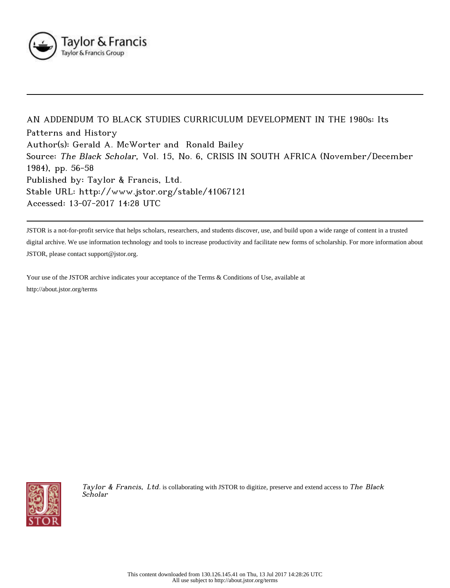

AN ADDENDUM TO BLACK STUDIES CURRICULUM DEVELOPMENT IN THE 1980s: Its Patterns and History Author(s): Gerald A. McWorter and Ronald Bailey Source: The Black Scholar, Vol. 15, No. 6, CRISIS IN SOUTH AFRICA (November/December 1984), pp. 56-58 Published by: Taylor & Francis, Ltd. Stable URL: http://www.jstor.org/stable/41067121 Accessed: 13-07-2017 14:28 UTC

JSTOR is a not-for-profit service that helps scholars, researchers, and students discover, use, and build upon a wide range of content in a trusted digital archive. We use information technology and tools to increase productivity and facilitate new forms of scholarship. For more information about JSTOR, please contact support@jstor.org.

Your use of the JSTOR archive indicates your acceptance of the Terms & Conditions of Use, available at http://about.jstor.org/terms



Taylor & Francis, Ltd. is collaborating with JSTOR to digitize, preserve and extend access to The Black Scholar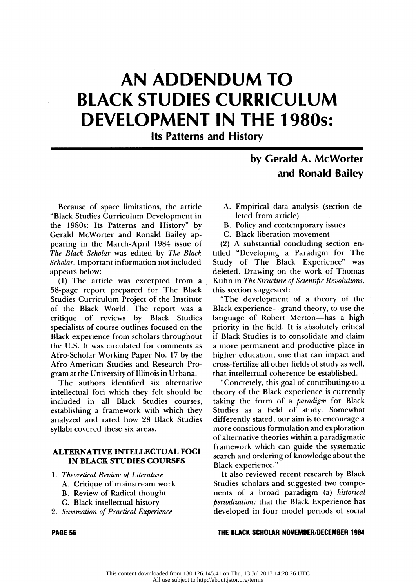# AN ADDENDUM TO BLACK STUDIES CURRICULUM DEVELOPMENT IN THE 1980s:

Its Patterns and History

## by Gerald A. McWorter and Ronald Bailey

 Because of space limitations, the article "Black Studies Curriculum Development in the 1980s: Its Patterns and History" by Gerald McWorter and Ronald Bailey ap pearing in the March- April 1984 issue of The Black Scholar was edited by The Black Scholar. Important information not included appears below:

 (1) The article was excerpted from a 58-page report prepared for The Black Studies Curriculum Project of the Institute of the Black World. The report was a critique of reviews by Black Studies specialists of course outlines focused on the Black experience from scholars throughout the U.S. It was circulated for comments as Afro-Scholar Working Paper No. 17 by the Afro-American Studies and Research Pro gram at the University of Illinois in Urbana.

 The authors identified six alternative intellectual foci which they felt should be included in all Black Studies courses, establishing a framework with which they analyzed and rated how 28 Black Studies syllabi covered these six areas.

#### ALTERNATIVE INTELLECTUAL FOCI IN BLACK STUDIES COURSES

- 1. Theoretical Review of Literature
	- A. Critique of mainstream work
	- B. Review of Radical thought
	- C. Black intellectual history
- 2. Summation of Practical Experience
- A. Empirical data analysis (section de leted from article)
- B. Policy and contemporary issues
- C. Black liberation movement

 (2) A substantial concluding section en titled "Developing a Paradigm for The Study of The Black Experience" was deleted. Drawing on the work of Thomas Kuhn in The Structure of Scientific Revolutions, this section suggested:

 "The development of a theory of the Black experience—grand theory, to use the language of Robert Merton-has a high priority in the field. It is absolutely critical if Black Studies is to consolidate and claim a more permanent and productive place in higher education, one that can impact and cross-fertilize all other fields of study as well, that intellectual coherence be established.

 "Concretely, this goal of contributing to a theory of the Black experience is currently taking the form of a paradigm for Black Studies as a field of study. Somewhat differently stated, our aim is to encourage a more conscious formulation and exploration of alternative theories within a paradigmatic framework which can guide the systematic search and ordering of knowledge about the Black experience."

 It also reviewed recent research by Black Studies scholars and suggested two compo nents of a broad paradigm (a) historical periodization: that the Black Experience has developed in four model periods of social

PAGE 56 THE BLACK SCHOLAR NOVEMBER/DECEMBER 1984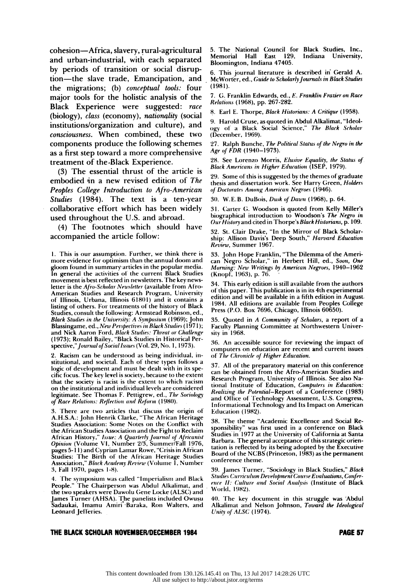cohesion-Africa, slavery, rural-agricultural and urban-industrial, with each separated by periods of transition or social disrup tion-the slave trade, Emancipation, and the migrations; (b) conceptual tools: four major tools for the holistic analysis of the Black Experience were suggested: race (biology), class (economy), nationality (social institutions/organization and culture), and consciousness. When combined, these two components produce the following schemes as a first step toward a more comprehensive treatment of the -Black Experience.

 (3) The essential thrust of the article is embodied in a new revised edition of The Peoples College Introduction to Afro-American Studies (1984). The text is a ten-year collaborative effort which has been widely used throughout the U.S. and abroad.

 (4) The footnotes which should have accompanied the article follow:

 1. This is our assumption. Further, we think there is more evidence for optimism than the annual doom and gloom found in summary articles in the popular media. In general the activities of the current Black Studies movement is best reflected in newsletters. The key news letter is the Afro-Scholar Newsletter (available from Afro-<br>American Studies and Research Program, University of Illinois, Urbana, Illinois 61801) and it contains & listing of others. For treatments of the history of Black Studies, consult the following: Armstead Robinson, ed., Black Studies in the University: A Symposium (1969); John Blassingame, ed., New Perspectives in Black Studies (1971); and Nick Aaron Ford, Black Studies: Threat or Challenge (1973); Ronald Bailey, "Black Studies in Historical Per spective," Journal of Social Issues (Vol. 29, No. 1, 1973).

 2. Racism can be understood as being individual, in stitutional, and societal. Each of these types follows a logic of development and must be dealt with in its spe cific focus. The key level is society, because to the extent that the society is racist is the extent to which racism on the institutional and individual levels are considered legitimate. See Thomas F. Pettigrew, ed., The Sociology of Race Relations: Reflection and Reform (1980).

 3. There are two articles that discuss the origin of A.H.S.A.: John Henrik Clarke, "The African Heritage 38 Studies Association: Some Notes on the Conflict with the African Studies Association and the Fight to Reclaim African History," Issue: A Quarterly Journal of Africanist<br>Opinion (Volume VI, Number 2/3, Summer/Fall 1976, a barbara. 1 pages 5-11) and Cyprian Lamar Rowe, "Crisis in African Studies: The Birth of the African Heritage Studies Association," Black Academy Review (Volume 1, Number 3, Fall 1970, pages 1-8).

 4. The symposium was called "Imperialism and Black People." The Chairperson was Abdul Alkalimat, and the two speakers were Dawolu Gene Locke (ALSC) and James Turner (AHSA). The panelists included Owusu Sadaukai, Imamu Amiri Baraka, Ron Walters, and Leonard Jefferies.

 5. The National Council for Black Studies, Inc., Memorial Hall East 129, Indiana University, Bloomington, Indiana 47405.

 6. This journal literature is described in Gerald A. McWorter, ed., Guide to Scholarly Journals in Black Studies (1981).

7. G. Franklin Edwards, ed., E. Franklin Frazier on Race Relations (1968), pp. 267-282.

8. Earl E. Thorpe, Black Historians: A Critique (1958).

 9. Harold Cruse, as quoted in Abdul Alkalimat, "Ideol ogy of a Black Social Science," The Black Scholar (December, 1969).

 27. Ralph Bunche, The Political Status of the Negro in the Age of FDR (1940-1973).

28. See Lorenzo Morris, Elusive Equality, the Status of Black Americans in Higher Education (ISEP, 1979).

 29. Some of this is suggested by the themes of graduate thesis and dissertation work. See Harry Green, Holders of Doctorates Among American Negroes (1946).

30. W.E.B. DuBois, Dusk of Dawn (1968), p. 64.

 31. Carter G. Woodson is quoted from Kelly Miller's biographical introduction to Woodson's The Negro in Our History and cited in Thorpe's Black Historians, p. 109.

 32. St. Clair Drake, In the Mirror ot Black Scholar ship: Allison Davis's Deep South," Harvard Education Review, Summer 1967.

 33. John Hope Franklin, "The Dilemma of the Ameri can Negro Scholar," in Herbert Hill, ed., Soon, One Morning: New Writings by American Negroes, 1940-1962 (Knopf, 1963), p. 76.

 34. This early edition is still available from the authors of this paper. This publication is in its 4th experimental edition and will be available in a fifth edition in August; 1984. All editions are available from Peoples College Press (P.O. Box 7696, Chicago, Illinois 60650).

 35. Quoted in A Community of Scholars, a report of a Faculty Planning Committee at Northwestern Univer sity in 1968.

 36. An accessible source for reviewing the impact of computers on education are recent and current issues of The Chronicle of Higher Education.

 37. All of the preparatory material on this conference can be obtained from the Afro-American Studies and Research Program, University of Illinois. See also Na tional Institute of Education, Computers in Education: Realizing the Potential-Report of a Conference (1983) and Office of Technology Assessment, U.S. Congress, Informational Technology and Its Impact on American Education (1982).

 38. The theme "Academic Excellence and Social Re sponsibility" was first used in a conference on Black Studies in 1977 at the University of California at Santa Barbara. The general acceptance of this strategic orien tation is reflected by its being adopted by the Executive Board of the NCBS (Princeton, 1983) as the permanent conference theme.

 39. James Turner, "Sociology in Black Studies," Black Studies Curriculum Development Course Evaluations, Confer ence II: Culture and Social Analysis (Institute of Black World, 1982).

 40. The key document in this struggle was Abdul Alkalimat and Nelson Johnson, Toward the Ideological Unity of ALSC (1974).

#### THE BLACK SCHOLAR NOVEMBER/DECEMBER 1984 PAGE 57